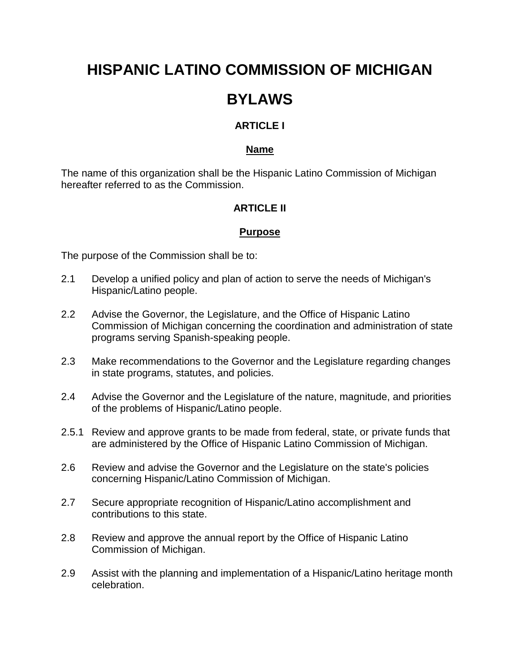# **HISPANIC LATINO COMMISSION OF MICHIGAN**

## **BYLAWS**

## **ARTICLE I**

### **Name**

The name of this organization shall be the Hispanic Latino Commission of Michigan hereafter referred to as the Commission.

## **ARTICI F II**

## **Purpose**

The purpose of the Commission shall be to:

- 2.1 Develop a unified policy and plan of action to serve the needs of Michigan's Hispanic/Latino people.
- 2.2 Advise the Governor, the Legislature, and the Office of Hispanic Latino Commission of Michigan concerning the coordination and administration of state programs serving Spanish-speaking people.
- 2.3 Make recommendations to the Governor and the Legislature regarding changes in state programs, statutes, and policies.
- 2.4 Advise the Governor and the Legislature of the nature, magnitude, and priorities of the problems of Hispanic/Latino people.
- 2.5.1 Review and approve grants to be made from federal, state, or private funds that are administered by the Office of Hispanic Latino Commission of Michigan.
- 2.6 Review and advise the Governor and the Legislature on the state's policies concerning Hispanic/Latino Commission of Michigan.
- 2.7 Secure appropriate recognition of Hispanic/Latino accomplishment and contributions to this state.
- 2.8 Review and approve the annual report by the Office of Hispanic Latino Commission of Michigan.
- 2.9 Assist with the planning and implementation of a Hispanic/Latino heritage month celebration.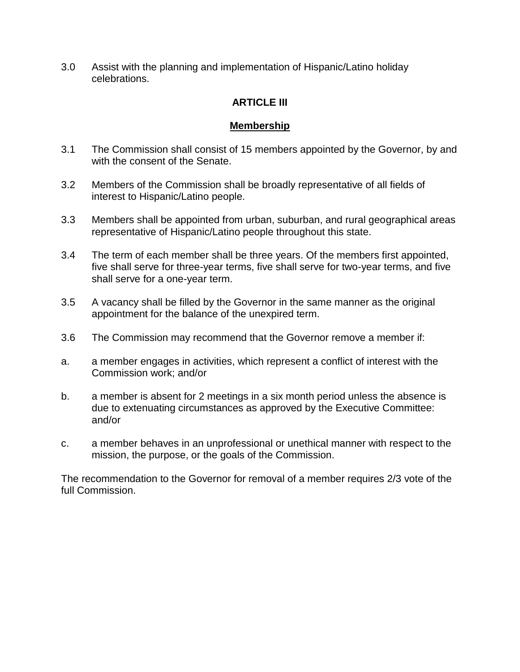3.0 Assist with the planning and implementation of Hispanic/Latino holiday celebrations.

## **ARTICLE III**

## **Membership**

- 3.1 The Commission shall consist of 15 members appointed by the Governor, by and with the consent of the Senate.
- 3.2 Members of the Commission shall be broadly representative of all fields of interest to Hispanic/Latino people.
- 3.3 Members shall be appointed from urban, suburban, and rural geographical areas representative of Hispanic/Latino people throughout this state.
- 3.4 The term of each member shall be three years. Of the members first appointed, five shall serve for three-year terms, five shall serve for two-year terms, and five shall serve for a one-year term.
- 3.5 A vacancy shall be filled by the Governor in the same manner as the original appointment for the balance of the unexpired term.
- 3.6 The Commission may recommend that the Governor remove a member if:
- a. a member engages in activities, which represent a conflict of interest with the Commission work; and/or
- b. a member is absent for 2 meetings in a six month period unless the absence is due to extenuating circumstances as approved by the Executive Committee: and/or
- c. a member behaves in an unprofessional or unethical manner with respect to the mission, the purpose, or the goals of the Commission.

The recommendation to the Governor for removal of a member requires 2/3 vote of the full Commission.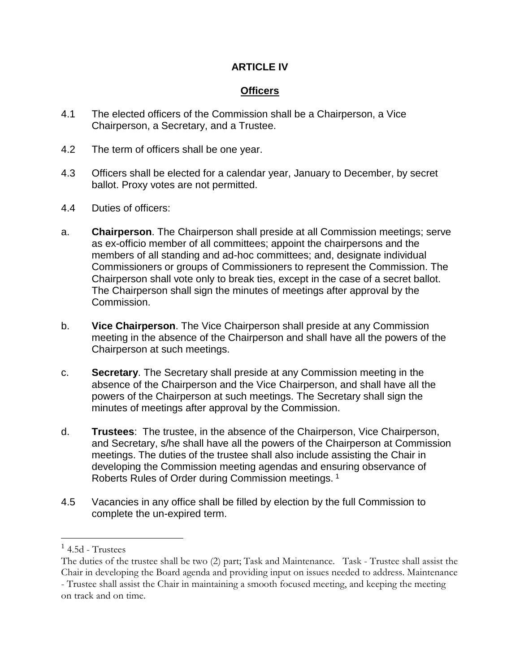## **ARTICLE IV**

## **Officers**

- 4.1 The elected officers of the Commission shall be a Chairperson, a Vice Chairperson, a Secretary, and a Trustee.
- 4.2 The term of officers shall be one year.
- 4.3 Officers shall be elected for a calendar year, January to December, by secret ballot. Proxy votes are not permitted.
- 4.4 Duties of officers:
- a. **Chairperson**. The Chairperson shall preside at all Commission meetings; serve as ex-officio member of all committees; appoint the chairpersons and the members of all standing and ad-hoc committees; and, designate individual Commissioners or groups of Commissioners to represent the Commission. The Chairperson shall vote only to break ties, except in the case of a secret ballot. The Chairperson shall sign the minutes of meetings after approval by the Commission.
- b. **Vice Chairperson**. The Vice Chairperson shall preside at any Commission meeting in the absence of the Chairperson and shall have all the powers of the Chairperson at such meetings.
- c. **Secretary**. The Secretary shall preside at any Commission meeting in the absence of the Chairperson and the Vice Chairperson, and shall have all the powers of the Chairperson at such meetings. The Secretary shall sign the minutes of meetings after approval by the Commission.
- d. **Trustees**: The trustee, in the absence of the Chairperson, Vice Chairperson, and Secretary, s/he shall have all the powers of the Chairperson at Commission meetings. The duties of the trustee shall also include assisting the Chair in developing the Commission meeting agendas and ensuring observance of Roberts Rules of Order during Commission meetings. <sup>1</sup>
- 4.5 Vacancies in any office shall be filled by election by the full Commission to complete the un-expired term.

 $\overline{a}$ 

 $<sup>1</sup>$  4.5d - Trustees</sup>

The duties of the trustee shall be two (2) part; Task and Maintenance. Task - Trustee shall assist the Chair in developing the Board agenda and providing input on issues needed to address. Maintenance - Trustee shall assist the Chair in maintaining a smooth focused meeting, and keeping the meeting on track and on time.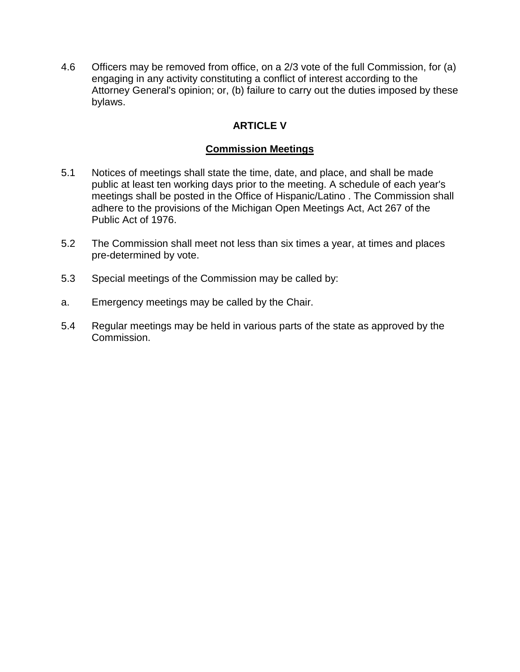4.6 Officers may be removed from office, on a 2/3 vote of the full Commission, for (a) engaging in any activity constituting a conflict of interest according to the Attorney General's opinion; or, (b) failure to carry out the duties imposed by these bylaws.

## **ARTICLE V**

## **Commission Meetings**

- 5.1 Notices of meetings shall state the time, date, and place, and shall be made public at least ten working days prior to the meeting. A schedule of each year's meetings shall be posted in the Office of Hispanic/Latino . The Commission shall adhere to the provisions of the Michigan Open Meetings Act, Act 267 of the Public Act of 1976.
- 5.2 The Commission shall meet not less than six times a year, at times and places pre-determined by vote.
- 5.3 Special meetings of the Commission may be called by:
- a. Emergency meetings may be called by the Chair.
- 5.4 Regular meetings may be held in various parts of the state as approved by the Commission.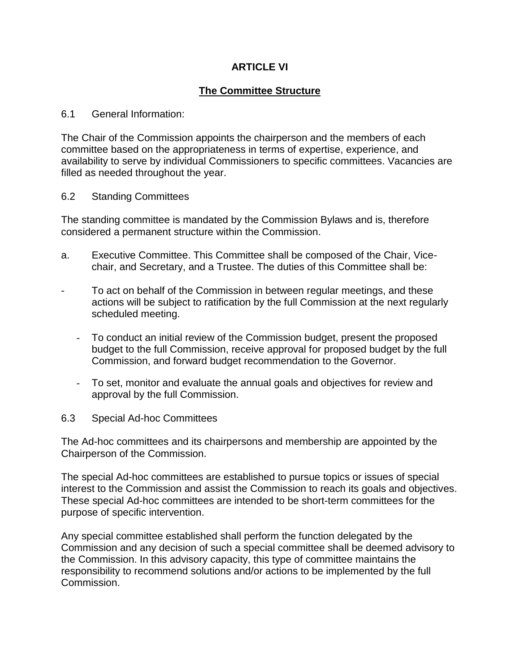## **ARTICLE VI**

## **The Committee Structure**

#### 6.1 General Information:

The Chair of the Commission appoints the chairperson and the members of each committee based on the appropriateness in terms of expertise, experience, and availability to serve by individual Commissioners to specific committees. Vacancies are filled as needed throughout the year.

#### 6.2 Standing Committees

The standing committee is mandated by the Commission Bylaws and is, therefore considered a permanent structure within the Commission.

- a. Executive Committee. This Committee shall be composed of the Chair, Vicechair, and Secretary, and a Trustee. The duties of this Committee shall be:
- To act on behalf of the Commission in between regular meetings, and these actions will be subject to ratification by the full Commission at the next regularly scheduled meeting.
	- To conduct an initial review of the Commission budget, present the proposed budget to the full Commission, receive approval for proposed budget by the full Commission, and forward budget recommendation to the Governor.
	- To set, monitor and evaluate the annual goals and objectives for review and approval by the full Commission.

#### 6.3 Special Ad-hoc Committees

The Ad-hoc committees and its chairpersons and membership are appointed by the Chairperson of the Commission.

The special Ad-hoc committees are established to pursue topics or issues of special interest to the Commission and assist the Commission to reach its goals and objectives. These special Ad-hoc committees are intended to be short-term committees for the purpose of specific intervention.

Any special committee established shall perform the function delegated by the Commission and any decision of such a special committee shall be deemed advisory to the Commission. In this advisory capacity, this type of committee maintains the responsibility to recommend solutions and/or actions to be implemented by the full Commission.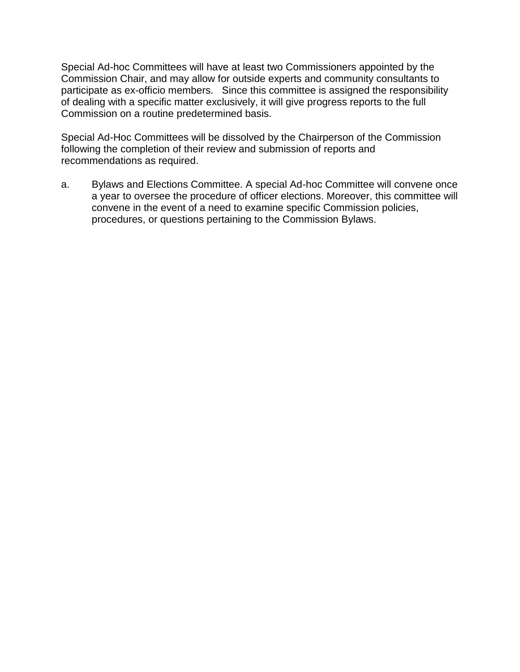Special Ad-hoc Committees will have at least two Commissioners appointed by the Commission Chair, and may allow for outside experts and community consultants to participate as ex-officio members. Since this committee is assigned the responsibility of dealing with a specific matter exclusively, it will give progress reports to the full Commission on a routine predetermined basis.

Special Ad-Hoc Committees will be dissolved by the Chairperson of the Commission following the completion of their review and submission of reports and recommendations as required.

a. Bylaws and Elections Committee. A special Ad-hoc Committee will convene once a year to oversee the procedure of officer elections. Moreover, this committee will convene in the event of a need to examine specific Commission policies, procedures, or questions pertaining to the Commission Bylaws.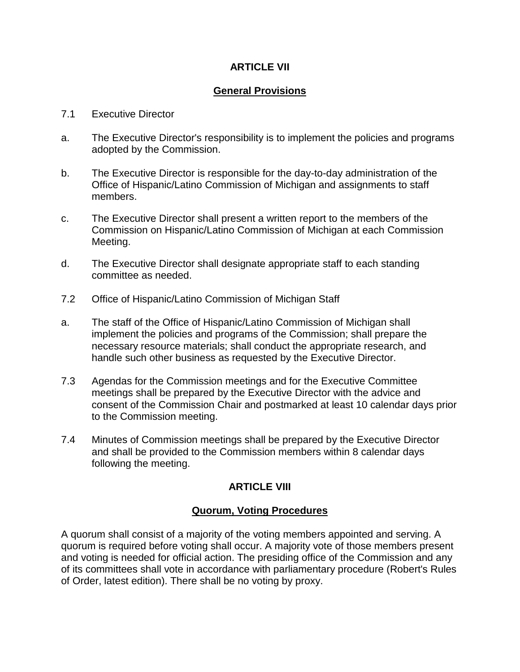## **ARTICLE VII**

## **General Provisions**

#### 7.1 Executive Director

- a. The Executive Director's responsibility is to implement the policies and programs adopted by the Commission.
- b. The Executive Director is responsible for the day-to-day administration of the Office of Hispanic/Latino Commission of Michigan and assignments to staff members.
- c. The Executive Director shall present a written report to the members of the Commission on Hispanic/Latino Commission of Michigan at each Commission Meeting.
- d. The Executive Director shall designate appropriate staff to each standing committee as needed.
- 7.2 Office of Hispanic/Latino Commission of Michigan Staff
- a. The staff of the Office of Hispanic/Latino Commission of Michigan shall implement the policies and programs of the Commission; shall prepare the necessary resource materials; shall conduct the appropriate research, and handle such other business as requested by the Executive Director.
- 7.3 Agendas for the Commission meetings and for the Executive Committee meetings shall be prepared by the Executive Director with the advice and consent of the Commission Chair and postmarked at least 10 calendar days prior to the Commission meeting.
- 7.4 Minutes of Commission meetings shall be prepared by the Executive Director and shall be provided to the Commission members within 8 calendar days following the meeting.

## **ARTICLE VIII**

#### **Quorum, Voting Procedures**

A quorum shall consist of a majority of the voting members appointed and serving. A quorum is required before voting shall occur. A majority vote of those members present and voting is needed for official action. The presiding office of the Commission and any of its committees shall vote in accordance with parliamentary procedure (Robert's Rules of Order, latest edition). There shall be no voting by proxy.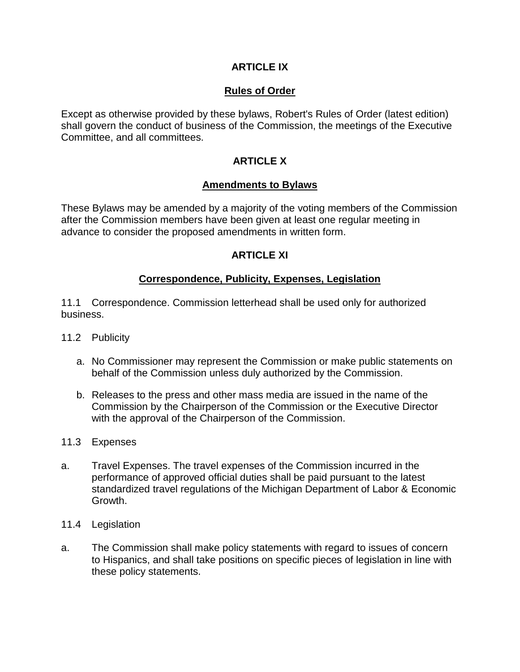## **ARTICLE IX**

## **Rules of Order**

Except as otherwise provided by these bylaws, Robert's Rules of Order (latest edition) shall govern the conduct of business of the Commission, the meetings of the Executive Committee, and all committees.

## **ARTICLE X**

#### **Amendments to Bylaws**

These Bylaws may be amended by a majority of the voting members of the Commission after the Commission members have been given at least one regular meeting in advance to consider the proposed amendments in written form.

## **ARTICLE XI**

#### **Correspondence, Publicity, Expenses, Legislation**

11.1 Correspondence. Commission letterhead shall be used only for authorized business.

- 11.2 Publicity
	- a. No Commissioner may represent the Commission or make public statements on behalf of the Commission unless duly authorized by the Commission.
	- b. Releases to the press and other mass media are issued in the name of the Commission by the Chairperson of the Commission or the Executive Director with the approval of the Chairperson of the Commission.
- 11.3 Expenses
- a. Travel Expenses. The travel expenses of the Commission incurred in the performance of approved official duties shall be paid pursuant to the latest standardized travel regulations of the Michigan Department of Labor & Economic Growth.
- 11.4 Legislation
- a. The Commission shall make policy statements with regard to issues of concern to Hispanics, and shall take positions on specific pieces of legislation in line with these policy statements.